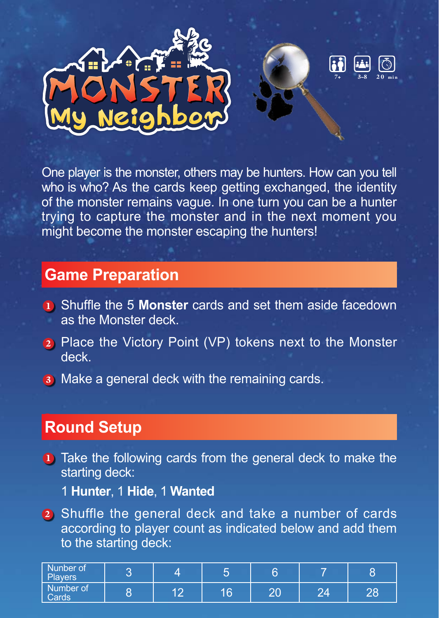



One player is the monster, others may be hunters. How can you tell who is who? As the cards keep getting exchanged, the identity of the monster remains vague. In one turn you can be a hunter trying to capture the monster and in the next moment you might become the monster escaping the hunters!

## **Game Preparation**

- 1 Shuffle the 5 **Monster** cards and set them aside facedown as the Monster deck.
- 2 Place the Victory Point (VP) tokens next to the Monster deck.
- **3** Make a general deck with the remaining cards.

# 1 **Round Setup**

**1** Take the following cards from the general deck to make the starting deck:

1 **Hunter**, 1 **Hide**, 1 **Wanted**

2 Shuffle the general deck and take a number of cards according to player count as indicated below and add them to the starting deck:

| Nunber of<br>Players | - |                                      |    |                |        |    |
|----------------------|---|--------------------------------------|----|----------------|--------|----|
| Number of<br>Cards   | o | $\overline{A}$ $\overline{C}$<br>. e | 16 | $\Omega$<br>۷J | $\sim$ | 28 |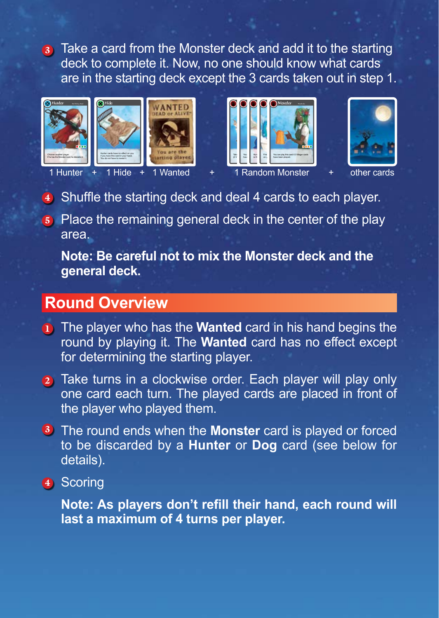3 Take a card from the Monster deck and add it to the starting deck to complete it. Now, no one should know what cards are in the starting deck except the 3 cards taken out in step 1.











1 Hunter

 $1$  Hide  $+ 1$ 

**Dandom Monste** + 1 Hide + 1 Wanted + 1 Random Monster + other cards

- 4) Shuffle the starting deck and deal 4 cards to each player.
- **5** Place the remaining general deck in the center of the play area.

**Note: Be careful not to mix the Monster deck and the general deck.**

## **Round Overview**

- **1** The player who has the **Wanted** card in his hand begins the round by playing it. The **Wanted** card has no effect except for determining the starting player.
- 2) Take turns in a clockwise order. Each player will play only one card each turn. The played cards are placed in front of the player who played them.
- <sup>3</sup> The round ends when the **Monster** card is played or forced to be discarded by a **Hunter** or **Dog** card (see below for details).
- 4 Scoring

**Note: As players don't refill their hand, each round will last a maximum of 4 turns per player.**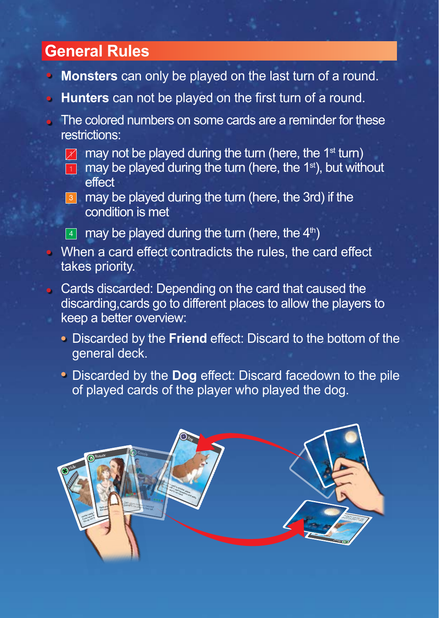## **General Rules**

- **Monsters** can only be played on the last turn of a round.
- **Hunters** can not be played on the first turn of a round.
- The colored numbers on some cards are a reminder for these restrictions:
	- $\mathbb Z$  may not be played during the turn (here, the 1<sup>st</sup> turn)
	- $\blacksquare$  may be played during the turn (here, the 1<sup>st</sup>), but without effect
	- **3** may be played during the turn (here, the 3rd) if the condition is met

 $\overline{4}$  may be played during the turn (here, the  $4<sup>th</sup>$ )

- When a card effect contradicts the rules, the card effect takes priority.
- **Cards discarded: Depending on the card that caused the** discarding,cards go to different places to allow the players to keep a better overview:
	- Discarded by the **Friend** effect: Discard to the bottom of the general deck.
	- Discarded by the **Dog** effect: Discard facedown to the pile of played cards of the player who played the dog.

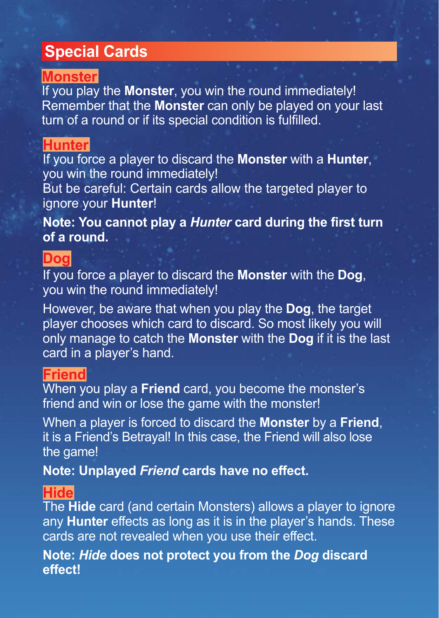# **Special Cards**

### **Monster**

If you play the **Monster**, you win the round immediately! Remember that the **Monster** can only be played on your last turn of a round or if its special condition is fulfilled.

#### **Hunter**

If you force a player to discard the **Monster** with a **Hunter**, you win the round immediately!

But be careful: Certain cards allow the targeted player to ignore your **Hunter**!

**Note: You cannot play a** *Hunter* **card during the first turn of a round.**

#### **Dog**

If you force a player to discard the **Monster** with the **Dog**, you win the round immediately!

However, be aware that when you play the **Dog**, the target player chooses which card to discard. So most likely you will only manage to catch the **Monster** with the **Dog** if it is the last card in a player's hand.

#### **Friend**

When you play a **Friend** card, you become the monster's friend and win or lose the game with the monster!

When a player is forced to discard the **Monster** by a **Friend**, it is a Friend's Betrayal! In this case, the Friend will also lose the game!

**Note: Unplayed** *Friend* **cards have no effect.**

#### **Hide**

The **Hide** card (and certain Monsters) allows a player to ignore any **Hunter** effects as long as it is in the player's hands. These cards are not revealed when you use their effect.

**Note:** *Hide* **does not protect you from the** *Dog* **discard effect!**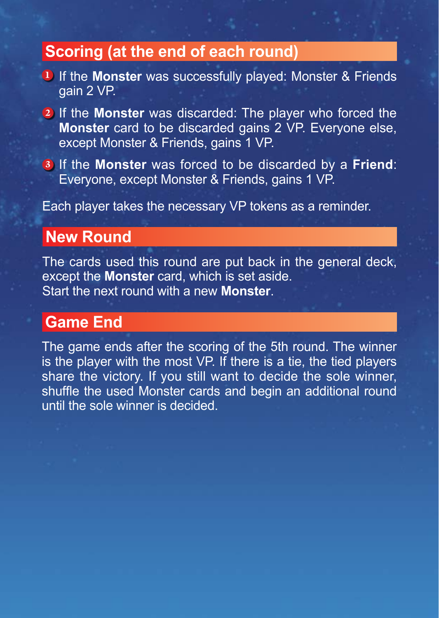## **Scoring (at the end of each round)**

- 1 If the **Monster** was successfully played: Monster & Friends gain 2 VP.
- 2 If the **Monster** was discarded: The player who forced the **Monster** card to be discarded gains 2 VP. Everyone else, except Monster & Friends, gains 1 VP.
- 3 If the **Monster** was forced to be discarded by a **Friend**: Everyone, except Monster & Friends, gains 1 VP.

Each player takes the necessary VP tokens as a reminder.

## **New Round**

The cards used this round are put back in the general deck, except the **Monster** card, which is set aside. Start the next round with a new **Monster**.

## **Game End**

The game ends after the scoring of the 5th round. The winner is the player with the most VP. If there is a tie, the tied players share the victory. If you still want to decide the sole winner, shuffle the used Monster cards and begin an additional round until the sole winner is decided.